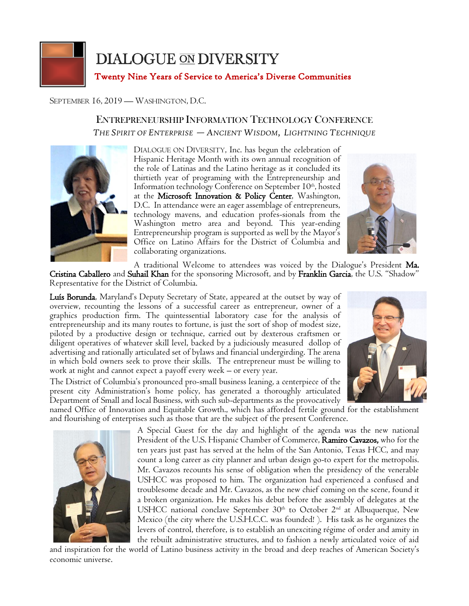

## **DIALOGUE ON DIVERSITY**

Twenty Nine Years of Service to America's Diverse Communities

SEPTEMBER 16, 2019 - WASHINGTON, D.C.

## ENTREPRENEURSHIP INFORMATION TECHNOLOGY CONFERENCE *THE SPIRIT OF ENTERPRISE — ANCIENT WISDOM, LIGHTNING TECHNIQUE*



DIALOGUE ON DIVERSITY, Inc. has begun the celebration of Hispanic Heritage Month with its own annual recognition of the role of Latinas and the Latino heritage as it concluded its thirtieth year of programing with the Entrepreneurship and Information technology Conference on September 10<sup>th</sup>, hosted at the Microsoft Innovation & Policy Center, Washington, D.C. In attendance were an eager assemblage of entrepreneurs, technology mavens, and education profes-sionals from the Washington metro area and beyond. This year-ending Entrepreneurship program is supported as well by the Mayor's Office on Latino Affairs for the District of Columbia and collaborating organizations.



A traditional Welcome to attendees was voiced by the Dialogue's President Ma.

Cristina Caballero and Suhail Khan for the sponsoring Microsoft, and by Franklin Garcia, the U.S. "Shadow" Representative for the District of Columbia.

Luís Borunda, Maryland's Deputy Secretary of State, appeared at the outset by way of overview, recounting the lessons of a successful career as entrepreneur, owner of a graphics production firm. The quintessential laboratory case for the analysis of entrepreneurship and its many routes to fortune, is just the sort of shop of modest size, piloted by a productive design or technique, carried out by dexterous craftsmen or diligent operatives of whatever skill level, backed by a judiciously measured dollop of advertising and rationally articulated set of bylaws and financial undergirding. The arena in which bold owners seek to prove their skills. The entrepreneur must be willing to work at night and cannot expect a payoff every week – or every year.

The District of Columbia's pronounced pro-small business leaning, a centerpiece of the present city Administration's home policy, has generated a thoroughly articulated Department of Small and local Business, with such sub-departments as the provocatively



named Office of Innovation and Equitable Growth., which has afforded fertile ground for the establishment and flourishing of enterprises such as those that are the subject of the present Conference.

> A Special Guest for the day and highlight of the agenda was the new national President of the U.S. Hispanic Chamber of Commerce, Ramiro Cavazos, who for the ten years just past has served at the helm of the San Antonio, Texas HCC, and may count a long career as city planner and urban design go-to expert for the metropolis. Mr. Cavazos recounts his sense of obligation when the presidency of the venerable USHCC was proposed to him. The organization had experienced a confused and troublesome decade and Mr. Cavazos, as the new chief coming on the scene, found it a broken organization. He makes his debut before the assembly of delegates at the USHCC national conclave September  $30<sup>th</sup>$  to October  $2<sup>nd</sup>$  at Albuquerque, New Mexico (the city where the U.S.H.C.C. was founded! ). His task as he organizes the levers of control, therefore, is to establish an unexciting régime of order and amity in the rebuilt administrative structures, and to fashion a newly articulated voice of aid

and inspiration for the world of Latino business activity in the broad and deep reaches of American Society's economic universe.

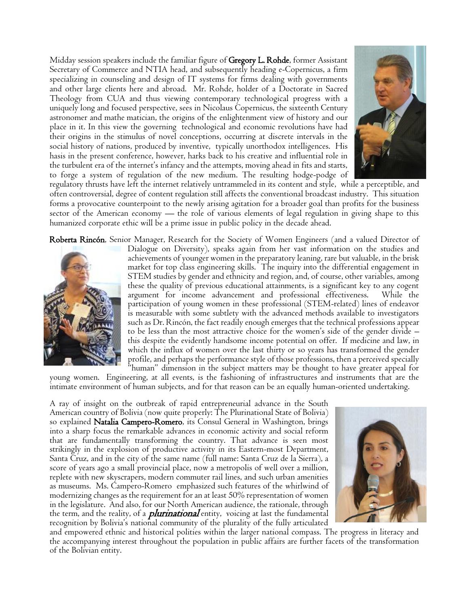Midday session speakers include the familiar figure of **Gregory L. Rohde**, former Assistant Secretary of Commerce and NTIA head, and subsequently heading e-Copernicus, a firm specializing in counseling and design of IT systems for firms dealing with governments and other large clients here and abroad. Mr. Rohde, holder of a Doctorate in Sacred Theology from CUA and thus viewing contemporary technological progress with a uniquely long and focused perspective, sees in Nicolaus Copernicus, the sixteenth Century astronomer and mathe matician, the origins of the enlightenment view of history and our place in it. In this view the governing technological and economic revolutions have had their origins in the stimulus of novel conceptions, occurring at discrete intervals in the social history of nations, produced by inventive, typically unorthodox intelligences. His hasis in the present conference, however, harks back to his creative and influential role in the turbulent era of the internet's infancy and the attempts, moving ahead in fits and starts, to forge a system of regulation of the new medium. The resulting hodge-podge of



regulatory thrusts have left the internet relatively untrammeled in its content and style, while a perceptible, and often controversial, degree of content regulation still affects the conventional broadcast industry. This situation forms a provocative counterpoint to the newly arising agitation for a broader goal than profits for the business sector of the American economy — the role of various elements of legal regulation in giving shape to this humanized corporate ethic will be a prime issue in public policy in the decade ahead.

Roberta Rincón, Senior Manager, Research for the Society of Women Engineers (and a valued Director of



Dialogue on Diversity), speaks again from her vast information on the studies and achievements of younger women in the preparatory leaning, rare but valuable, in the brisk market for top class engineering skills. The inquiry into the differential engagement in STEM studies by gender and ethnicity and region, and, of course, other variables, among these the quality of previous educational attainments, is a significant key to any cogent argument for income advancement and professional effectiveness. While the participation of young women in these professional (STEM-related) lines of endeavor is measurable with some subtlety with the advanced methods available to investigators such as Dr. Rincón, the fact readily enough emerges that the technical professions appear to be less than the most attractive choice for the women's side of the gender divide – this despite the evidently handsome income potential on offer. If medicine and law, in which the influx of women over the last thirty or so years has transformed the gender profile, and perhaps the performance style of those professions, then a perceived specially "human" dimension in the subject matters may be thought to have greater appeal for

young women. Engineering, at all events, is the fashioning of infrastructures and instruments that are the intimate environment of human subjects, and for that reason can be an equally human-oriented undertaking.

A ray of insight on the outbreak of rapid entrepreneurial advance in the South American country of Bolivia (now quite properly: The Plurinational State of Bolivia) so explained **Natalia Campero-Romero**, its Consul General in Washington, brings into a sharp focus the remarkable advances in economic activity and social reform that are fundamentally transforming the country. That advance is seen most strikingly in the explosion of productive activity in its Eastern-most Department, Santa Cruz, and in the city of the same name (full name: Santa Cruz de la Sierra), a score of years ago a small provincial place, now a metropolis of well over a million, replete with new skyscrapers, modern commuter rail lines, and such urban amenities as museums. Ms. Campero-Romero emphasized such features of the whirlwind of modernizing changes as the requirement for an at least 50% representation of women in the legislature. And also, for our North American audience, the rationale, through the term, and the reality, of a **plurinational** entity, voicing at last the fundamental recognition by Bolivia's national community of the plurality of the fully articulated



and empowered ethnic and historical polities within the larger national compass. The progress in literacy and the accompanying interest throughout the population in public affairs are further facets of the transformation of the Bolivian entity.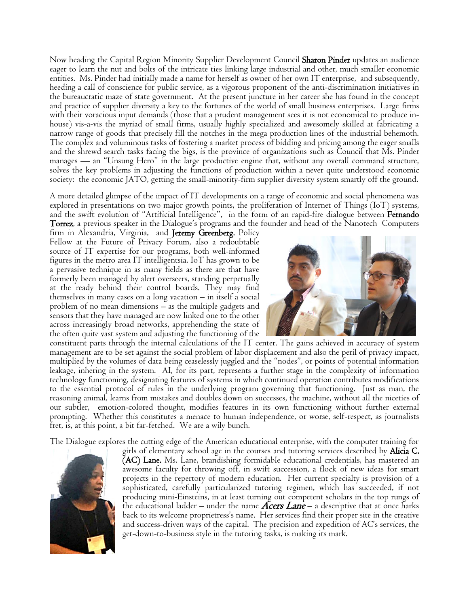Now heading the Capital Region Minority Supplier Development Council Sharon Pinder updates an audience eager to learn the nut and bolts of the intricate ties linking large industrial and other, much smaller economic entities. Ms. Pinder had initially made a name for herself as owner of her own IT enterprise, and subsequently, heeding a call of conscience for public service, as a vigorous proponent of the anti-discrimination initiatives in the bureaucratic maze of state government. At the present juncture in her career she has found in the concept and practice of supplier diversity a key to the fortunes of the world of small business enterprises. Large firms with their voracious input demands (those that a prudent management sees it is not economical to produce inhouse) vis-a-vis the myriad of small firms, usually highly specialized and awesomely skilled at fabricating a narrow range of goods that precisely fill the notches in the mega production lines of the industrial behemoth. The complex and voluminous tasks of fostering a market process of bidding and pricing among the eager smalls and the shrewd search tasks facing the bigs, is the province of organizations such as Council that Ms. Pinder manages — an "Unsung Hero" in the large productive engine that, without any overall command structure, solves the key problems in adjusting the functions of production within a never quite understood economic society: the economic JATO, getting the small-minority-firm supplier diversity system smartly off the ground.

A more detailed glimpse of the impact of IT developments on a range of economic and social phenomena was explored in presentations on two major growth points, the proliferation of Internet of Things (IoT) systems, and the swift evolution of "Artificial Intelligence", in the form of an rapid-fire dialogue between Fernando Torrez, a previous speaker in the Dialogue's programs and the founder and head of the Nanotech Computers

firm in Alexandria, Virginia, and Jeremy Greenberg, Policy Fellow at the Future of Privacy Forum, also a redoubtable source of IT expertise for our programs, both well-informed figures in the metro area IT intelligentsia. IoT has grown to be a pervasive technique in as many fields as there are that have formerly been managed by alert overseers, standing perpetually at the ready behind their control boards. They may find themselves in many cases on a long vacation – in itself a social problem of no mean dimensions – as the multiple gadgets and sensors that they have managed are now linked one to the other across increasingly broad networks, apprehending the state of the often quite vast system and adjusting the functioning of the



constituent parts through the internal calculations of the IT center. The gains achieved in accuracy of system management are to be set against the social problem of labor displacement and also the peril of privacy impact, multiplied by the volumes of data being ceaselessly juggled and the "nodes", or points of potential information leakage, inhering in the system. AI, for its part, represents a further stage in the complexity of information technology functioning, designating features of systems in which continued operation contributes modifications to the essential protocol of rules in the underlying program governing that functioning. Just as man, the reasoning animal, learns from mistakes and doubles down on successes, the machine, without all the niceties of our subtler, emotion-colored thought, modifies features in its own functioning without further external prompting. Whether this constitutes a menace to human independence, or worse, self-respect, as journalists fret, is, at this point, a bit far-fetched. We are a wily bunch.

The Dialogue explores the cutting edge of the American educational enterprise, with the computer training for



girls of elementary school age in the courses and tutoring services described by Alicia C. (AC) Lane. Ms. Lane, brandishing formidable educational credentials, has mastered an awesome faculty for throwing off, in swift succession, a flock of new ideas for smart projects in the repertory of modern education. Her current specialty is provision of a sophisticated, carefully particularized tutoring regimen, which has succeeded, if not producing mini-Einsteins, in at least turning out competent scholars in the top rungs of the educational ladder – under the name  $Accrs$  Lane – a descriptive that at once harks back to its welcome proprietress's name. Her services find their proper site in the creative and success-driven ways of the capital. The precision and expedition of AC's services, the get-down-to-business style in the tutoring tasks, is making its mark.